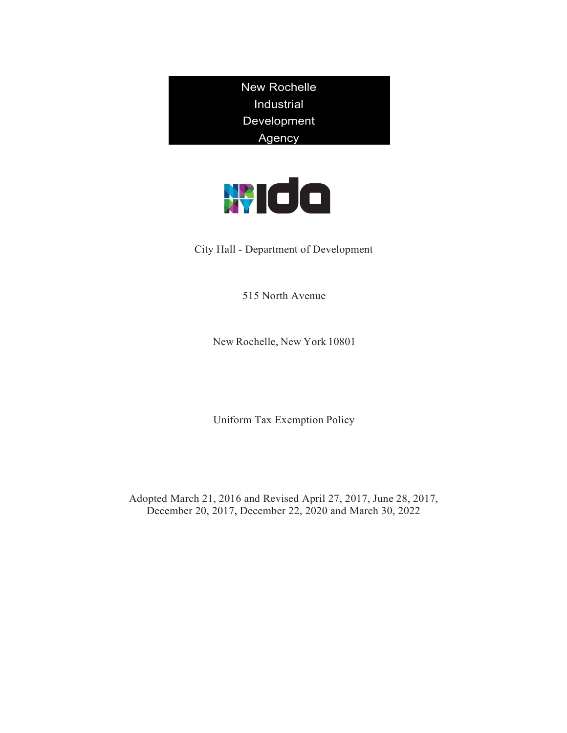New Rochelle Industrial Development Agency



City Hall - Department of Development

515 North Avenue

New Rochelle, New York 10801

Uniform Tax Exemption Policy

Adopted March 21, 2016 and Revised April 27, 2017, June 28, 2017, December 20, 2017, December 22, 2020 and March 30, 2022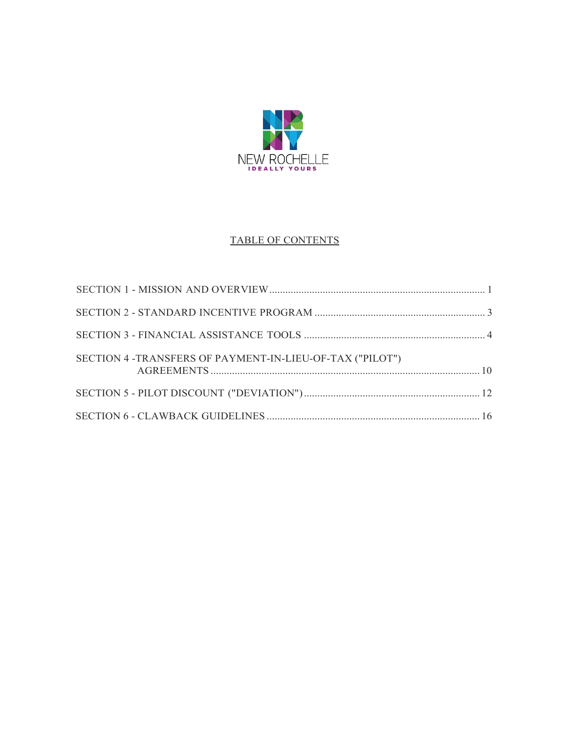

## TABLE OF CONTENTS

| SECTION 4 -TRANSFERS OF PAYMENT-IN-LIEU-OF-TAX ("PILOT") |  |
|----------------------------------------------------------|--|
|                                                          |  |
|                                                          |  |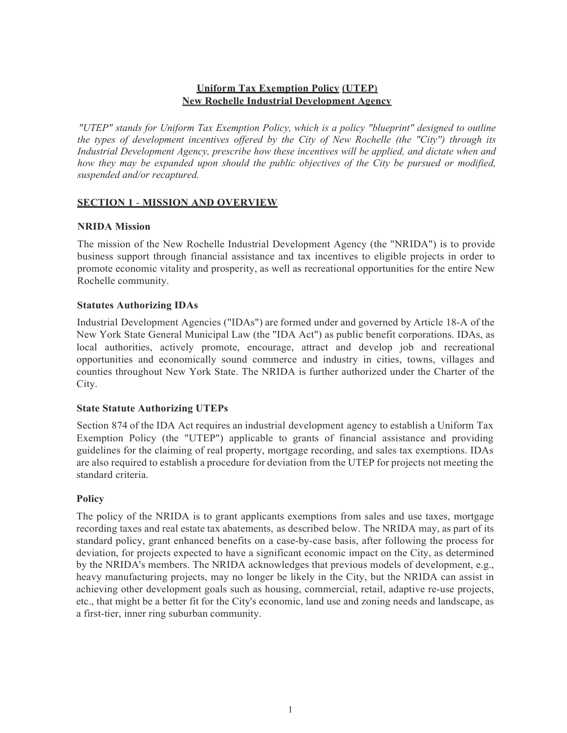### **Uniform Tax Exemption Policy (UTEP) New Rochelle Industrial Development Agency**

*"UTEP" stands for Uniform Tax Exemption Policy, which is a policy "blueprint" designed to outline the types of development incentives offered by the City of New Rochelle (the "City'') through its Industrial Development Agency, prescribe how these incentives will be applied, and dictate when and how they may be expanded upon should the public objectives of the City be pursued or modified, suspended and/or recaptured.*

### <span id="page-2-0"></span>**SECTION 1** - **MISSION AND OVERVIEW**

### **NRIDA Mission**

The mission of the New Rochelle Industrial Development Agency (the "NRIDA") is to provide business support through financial assistance and tax incentives to eligible projects in order to promote economic vitality and prosperity, as well as recreational opportunities for the entire New Rochelle community.

### **Statutes Authorizing IDAs**

Industrial Development Agencies ("IDAs") are formed under and governed by Article 18-A of the New York State General Municipal Law (the "IDA Act") as public benefit corporations. IDAs, as local authorities, actively promote, encourage, attract and develop job and recreational opportunities and economically sound commerce and industry in cities, towns, villages and counties throughout New York State. The NRIDA is further authorized under the Charter of the City.

### **State Statute Authorizing UTEPs**

Section 874 of the IDA Act requires an industrial development agency to establish a Uniform Tax Exemption Policy (the "UTEP") applicable to grants of financial assistance and providing guidelines for the claiming of real property, mortgage recording, and sales tax exemptions. IDAs are also required to establish a procedure for deviation from the UTEP for projects not meeting the standard criteria.

## **Policy**

The policy of the NRIDA is to grant applicants exemptions from sales and use taxes, mortgage recording taxes and real estate tax abatements, as described below. The NRIDA may, as part of its standard policy, grant enhanced benefits on a case-by-case basis, after following the process for deviation, for projects expected to have a significant economic impact on the City, as determined by the NRIDA's members. The NRIDA acknowledges that previous models of development, e.g., heavy manufacturing projects, may no longer be likely in the City, but the NRIDA can assist in achieving other development goals such as housing, commercial, retail, adaptive re-use projects, etc., that might be a better fit for the City's economic, land use and zoning needs and landscape, as a first-tier, inner ring suburban community.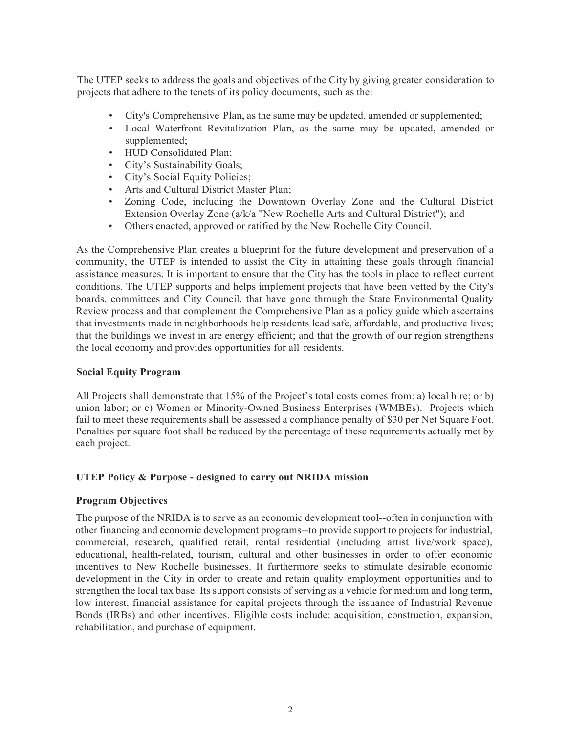The UTEP seeks to address the goals and objectives of the City by giving greater consideration to projects that adhere to the tenets of its policy documents, such as the:

- City's Comprehensive Plan, as the same may be updated, amended or supplemented;
- Local Waterfront Revitalization Plan, as the same may be updated, amended or supplemented;
- HUD Consolidated Plan;
- City's Sustainability Goals;
- City's Social Equity Policies;
- Arts and Cultural District Master Plan;
- Zoning Code, including the Downtown Overlay Zone and the Cultural District Extension Overlay Zone (a/k/a "New Rochelle Arts and Cultural District"); and
- Others enacted, approved or ratified by the New Rochelle City Council.

As the Comprehensive Plan creates a blueprint for the future development and preservation of a community, the UTEP is intended to assist the City in attaining these goals through financial assistance measures. It is important to ensure that the City has the tools in place to reflect current conditions. The UTEP supports and helps implement projects that have been vetted by the City's boards, committees and City Council, that have gone through the State Environmental Quality Review process and that complement the Comprehensive Plan as a policy guide which ascertains that investments made in neighborhoods help residents lead safe, affordable, and productive lives; that the buildings we invest in are energy efficient; and that the growth of our region strengthens the local economy and provides opportunities for all residents.

### **Social Equity Program**

All Projects shall demonstrate that 15% of the Project's total costs comes from: a) local hire; or b) union labor; or c) Women or Minority-Owned Business Enterprises (WMBEs). Projects which fail to meet these requirements shall be assessed a compliance penalty of \$30 per Net Square Foot. Penalties per square foot shall be reduced by the percentage of these requirements actually met by each project.

### **UTEP Policy & Purpose - designed to carry out NRIDA mission**

### **Program Objectives**

The purpose of the NRIDA is to serve as an economic development tool--often in conjunction with other financing and economic development programs--to provide support to projects for industrial, commercial, research, qualified retail, rental residential (including artist live/work space), educational, health-related, tourism, cultural and other businesses in order to offer economic incentives to New Rochelle businesses. It furthermore seeks to stimulate desirable economic development in the City in order to create and retain quality employment opportunities and to strengthen the local tax base. Its support consists of serving as a vehicle for medium and long term, low interest, financial assistance for capital projects through the issuance of Industrial Revenue Bonds (IRBs) and other incentives. Eligible costs include: acquisition, construction, expansion, rehabilitation, and purchase of equipment.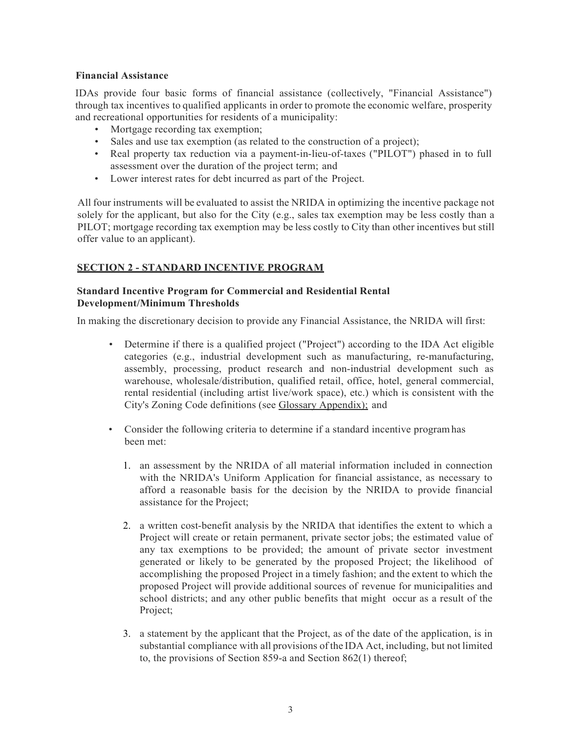### **Financial Assistance**

IDAs provide four basic forms of financial assistance (collectively, "Financial Assistance") through tax incentives to qualified applicants in order to promote the economic welfare, prosperity and recreational opportunities for residents of a municipality:

- Mortgage recording tax exemption;
- Sales and use tax exemption (as related to the construction of a project);
- Real property tax reduction via a payment-in-lieu-of-taxes ("PILOT") phased in to full assessment over the duration of the project term; and
- Lower interest rates for debt incurred as part of the Project.

All four instruments will be evaluated to assist the NRIDA in optimizing the incentive package not solely for the applicant, but also for the City (e.g., sales tax exemption may be less costly than a PILOT; mortgage recording tax exemption may be less costly to City than other incentives but still offer value to an applicant).

## <span id="page-4-0"></span>**SECTION 2 - STANDARD INCENTIVE PROGRAM**

### **Standard Incentive Program for Commercial and Residential Rental Development/Minimum Thresholds**

In making the discretionary decision to provide any Financial Assistance, the NRIDA will first:

- Determine if there is a qualified project ("Project") according to the IDA Act eligible categories (e.g., industrial development such as manufacturing, re-manufacturing, assembly, processing, product research and non-industrial development such as warehouse, wholesale/distribution, qualified retail, office, hotel, general commercial, rental residential (including artist live/work space), etc.) which is consistent with the City's Zoning Code definitions (see Glossary Appendix); and
- Consider the following criteria to determine if a standard incentive programhas been met:
	- 1. an assessment by the NRIDA of all material information included in connection with the NRIDA's Uniform Application for financial assistance, as necessary to afford a reasonable basis for the decision by the NRIDA to provide financial assistance for the Project;
	- 2. a written cost-benefit analysis by the NRIDA that identifies the extent to which a Project will create or retain permanent, private sector jobs; the estimated value of any tax exemptions to be provided; the amount of private sector investment generated or likely to be generated by the proposed Project; the likelihood of accomplishing the proposed Project in a timely fashion; and the extent to which the proposed Project will provide additional sources of revenue for municipalities and school districts; and any other public benefits that might occur as a result of the Project;
	- 3. a statement by the applicant that the Project, as of the date of the application, is in substantial compliance with all provisions of the IDA Act, including, but not limited to, the provisions of Section 859-a and Section 862(1) thereof;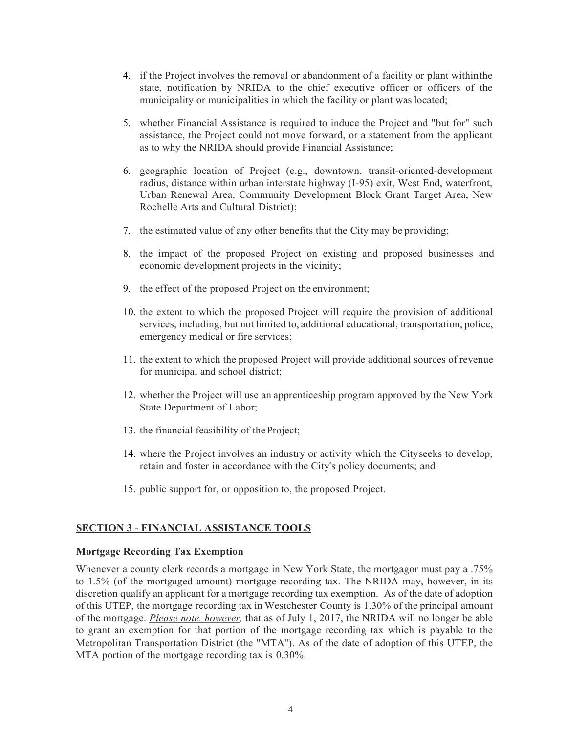- 4. if the Project involves the removal or abandonment of a facility or plant withinthe state, notification by NRIDA to the chief executive officer or officers of the municipality or municipalities in which the facility or plant was located;
- 5. whether Financial Assistance is required to induce the Project and "but for" such assistance, the Project could not move forward, or a statement from the applicant as to why the NRIDA should provide Financial Assistance;
- 6. geographic location of Project (e.g., downtown, transit-oriented-development radius, distance within urban interstate highway (I-95) exit, West End, waterfront, Urban Renewal Area, Community Development Block Grant Target Area, New Rochelle Arts and Cultural District);
- 7. the estimated value of any other benefits that the City may be providing;
- 8. the impact of the proposed Project on existing and proposed businesses and economic development projects in the vicinity;
- 9. the effect of the proposed Project on the environment;
- 10. the extent to which the proposed Project will require the provision of additional services, including, but not limited to, additional educational, transportation, police, emergency medical or fire services;
- 11. the extent to which the proposed Project will provide additional sources of revenue for municipal and school district;
- 12. whether the Project will use an apprenticeship program approved by the New York State Department of Labor;
- 13. the financial feasibility of theProject;
- 14. where the Project involves an industry or activity which the Cityseeks to develop, retain and foster in accordance with the City's policy documents; and
- 15. public support for, or opposition to, the proposed Project.

#### <span id="page-5-0"></span>**SECTION 3** - **FINANCIAL ASSISTANCE TOOLS**

#### **Mortgage Recording Tax Exemption**

Whenever a county clerk records a mortgage in New York State, the mortgagor must pay a .75% to 1.5% (of the mortgaged amount) mortgage recording tax. The NRIDA may, however, in its discretion qualify an applicant for a mortgage recording tax exemption. As of the date of adoption of this UTEP, the mortgage recording tax in Westchester County is 1.30% of the principal amount of the mortgage. *Please note. however,* that as of July 1, 2017, the NRIDA will no longer be able to grant an exemption for that portion of the mortgage recording tax which is payable to the Metropolitan Transportation District (the "MTA''). As of the date of adoption of this UTEP, the MTA portion of the mortgage recording tax is 0.30%.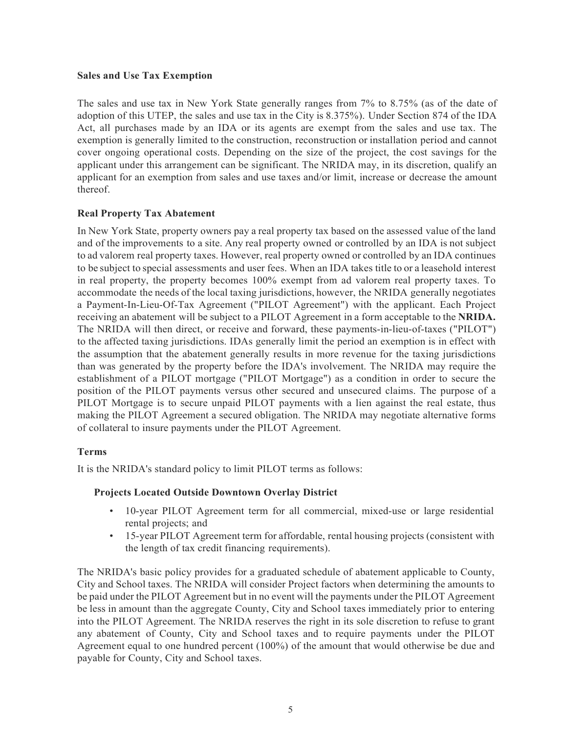### **Sales and Use Tax Exemption**

The sales and use tax in New York State generally ranges from 7% to 8.75% (as of the date of adoption of this UTEP, the sales and use tax in the City is 8.375%). Under Section 874 of the IDA Act, all purchases made by an IDA or its agents are exempt from the sales and use tax. The exemption is generally limited to the construction, reconstruction or installation period and cannot cover ongoing operational costs. Depending on the size of the project, the cost savings for the applicant under this arrangement can be significant. The NRIDA may, in its discretion, qualify an applicant for an exemption from sales and use taxes and/or limit, increase or decrease the amount thereof.

## **Real Property Tax Abatement**

In New York State, property owners pay a real property tax based on the assessed value of the land and of the improvements to a site. Any real property owned or controlled by an IDA is not subject to ad valorem real property taxes. However, real property owned or controlled by an IDA continues to be subject to special assessments and user fees. When an IDA takes title to or a leasehold interest in real property, the property becomes 100% exempt from ad valorem real property taxes. To accommodate the needs of the local taxing jurisdictions, however, the NRIDA generally negotiates a Payment-In-Lieu-Of-Tax Agreement ("PILOT Agreement") with the applicant. Each Project receiving an abatement will be subject to a PILOT Agreement in a form acceptable to the **NRIDA.**  The NRIDA will then direct, or receive and forward, these payments-in-lieu-of-taxes ("PILOT") to the affected taxing jurisdictions. IDAs generally limit the period an exemption is in effect with the assumption that the abatement generally results in more revenue for the taxing jurisdictions than was generated by the property before the IDA's involvement. The NRIDA may require the establishment of a PILOT mortgage ("PILOT Mortgage") as a condition in order to secure the position of the PILOT payments versus other secured and unsecured claims. The purpose of a PILOT Mortgage is to secure unpaid PILOT payments with a lien against the real estate, thus making the PILOT Agreement a secured obligation. The NRIDA may negotiate alternative forms of collateral to insure payments under the PILOT Agreement.

## **Terms**

It is the NRIDA's standard policy to limit PILOT terms as follows:

## **Projects Located Outside Downtown Overlay District**

- 10-year PILOT Agreement term for all commercial, mixed-use or large residential rental projects; and
- 15-year PILOT Agreement term for affordable, rental housing projects (consistent with the length of tax credit financing requirements).

The NRIDA's basic policy provides for a graduated schedule of abatement applicable to County, City and School taxes. The NRIDA will consider Project factors when determining the amounts to be paid under the PILOT Agreement but in no event will the payments under the PILOT Agreement be less in amount than the aggregate County, City and School taxes immediately prior to entering into the PILOT Agreement. The NRIDA reserves the right in its sole discretion to refuse to grant any abatement of County, City and School taxes and to require payments under the PILOT Agreement equal to one hundred percent (100%) of the amount that would otherwise be due and payable for County, City and School taxes.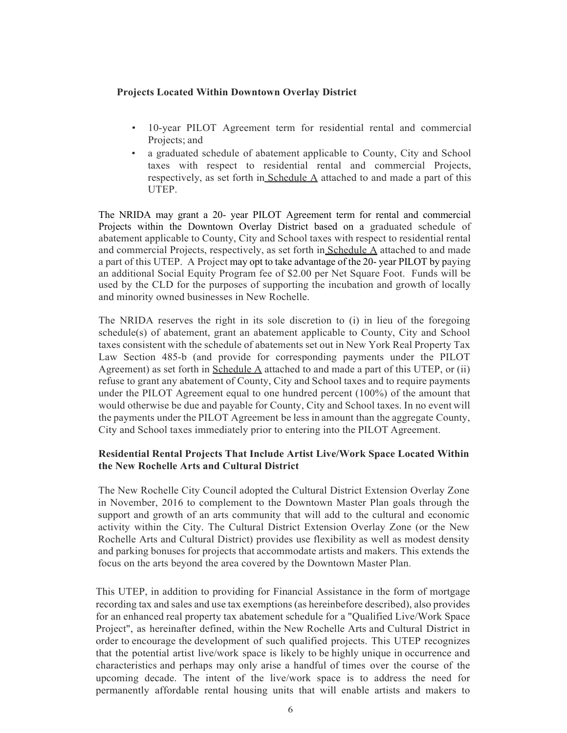### **Projects Located Within Downtown Overlay District**

- 10-year PILOT Agreement term for residential rental and commercial Projects; and
- a graduated schedule of abatement applicable to County, City and School taxes with respect to residential rental and commercial Projects, respectively, as set forth in Schedule  $\overline{A}$  attached to and made a part of this UTEP.

The NRIDA may grant a 20- year PILOT Agreement term for rental and commercial Projects within the Downtown Overlay District based on a graduated schedule of abatement applicable to County, City and School taxes with respect to residential rental and commercial Projects, respectively, as set forth in Schedule A attached to and made a part of this UTEP. A Project may opt to take advantage of the 20- year PILOT by paying an additional Social Equity Program fee of \$2.00 per Net Square Foot. Funds will be used by the CLD for the purposes of supporting the incubation and growth of locally and minority owned businesses in New Rochelle.

The NRIDA reserves the right in its sole discretion to (i) in lieu of the foregoing schedule(s) of abatement, grant an abatement applicable to County, City and School taxes consistent with the schedule of abatements set out in New York Real Property Tax Law Section 485-b (and provide for corresponding payments under the PILOT Agreement) as set forth in Schedule A attached to and made a part of this UTEP, or (ii) refuse to grant any abatement of County, City and School taxes and to require payments under the PILOT Agreement equal to one hundred percent (100%) of the amount that would otherwise be due and payable for County, City and School taxes. In no event will the payments under the PILOT Agreement be less in amount than the aggregate County, City and School taxes immediately prior to entering into the PILOT Agreement.

### **Residential Rental Projects That Include Artist Live/Work Space Located Within the New Rochelle Arts and Cultural District**

The New Rochelle City Council adopted the Cultural District Extension Overlay Zone in November, 2016 to complement to the Downtown Master Plan goals through the support and growth of an arts community that will add to the cultural and economic activity within the City. The Cultural District Extension Overlay Zone (or the New Rochelle Arts and Cultural District) provides use flexibility as well as modest density and parking bonuses for projects that accommodate artists and makers. This extends the focus on the arts beyond the area covered by the Downtown Master Plan.

This UTEP, in addition to providing for Financial Assistance in the form of mortgage recording tax and sales and use tax exemptions (as hereinbefore described), also provides for an enhanced real property tax abatement schedule for a "Qualified Live/Work Space Project", as hereinafter defined, within the New Rochelle Arts and Cultural District in order to encourage the development of such qualified projects. This UTEP recognizes that the potential artist live/work space is likely to be highly unique in occurrence and characteristics and perhaps may only arise a handful of times over the course of the upcoming decade. The intent of the live/work space is to address the need for permanently affordable rental housing units that will enable artists and makers to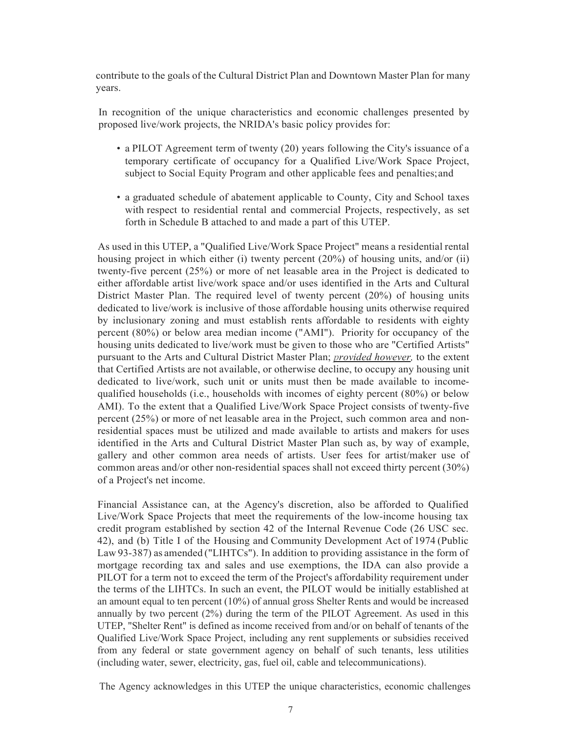contribute to the goals of the Cultural District Plan and Downtown Master Plan for many years.

In recognition of the unique characteristics and economic challenges presented by proposed live/work projects, the NRIDA's basic policy provides for:

- a PILOT Agreement term of twenty (20) years following the City's issuance of a temporary certificate of occupancy for a Qualified Live/Work Space Project, subject to Social Equity Program and other applicable fees and penalties; and
- a graduated schedule of abatement applicable to County, City and School taxes with respect to residential rental and commercial Projects, respectively, as set forth in Schedule B attached to and made a part of this UTEP.

As used in this UTEP, a "Qualified Live/Work Space Project" means a residential rental housing project in which either (i) twenty percent (20%) of housing units, and/or (ii) twenty-five percent (25%) or more of net leasable area in the Project is dedicated to either affordable artist live/work space and/or uses identified in the Arts and Cultural District Master Plan. The required level of twenty percent (20%) of housing units dedicated to live/work is inclusive of those affordable housing units otherwise required by inclusionary zoning and must establish rents affordable to residents with eighty percent (80%) or below area median income ("AMI"). Priority for occupancy of the housing units dedicated to live/work must be given to those who are "Certified Artists" pursuant to the Arts and Cultural District Master Plan; *provided however,* to the extent that Certified Artists are not available, or otherwise decline, to occupy any housing unit dedicated to live/work, such unit or units must then be made available to incomequalified households (i.e., households with incomes of eighty percent (80%) or below AMI). To the extent that a Qualified Live/Work Space Project consists of twenty-five percent (25%) or more of net leasable area in the Project, such common area and nonresidential spaces must be utilized and made available to artists and makers for uses identified in the Arts and Cultural District Master Plan such as, by way of example, gallery and other common area needs of artists. User fees for artist/maker use of common areas and/or other non-residential spaces shall not exceed thirty percent (30%) of a Project's net income.

Financial Assistance can, at the Agency's discretion, also be afforded to Qualified Live/Work Space Projects that meet the requirements of the low-income housing tax credit program established by section 42 of the Internal Revenue Code (26 USC sec. 42), and (b) Title I of the Housing and Community Development Act of 1974 (Public Law 93-387) as amended ("LIHTCs"). In addition to providing assistance in the form of mortgage recording tax and sales and use exemptions, the IDA can also provide a PILOT for a term not to exceed the term of the Project's affordability requirement under the terms of the LIHTCs. In such an event, the PILOT would be initially established at an amount equal to ten percent (10%) of annual gross Shelter Rents and would be increased annually by two percent (2%) during the term of the PILOT Agreement. As used in this UTEP, "Shelter Rent" is defined as income received from and/or on behalf of tenants of the Qualified Live/Work Space Project, including any rent supplements or subsidies received from any federal or state government agency on behalf of such tenants, less utilities (including water, sewer, electricity, gas, fuel oil, cable and telecommunications).

The Agency acknowledges in this UTEP the unique characteristics, economic challenges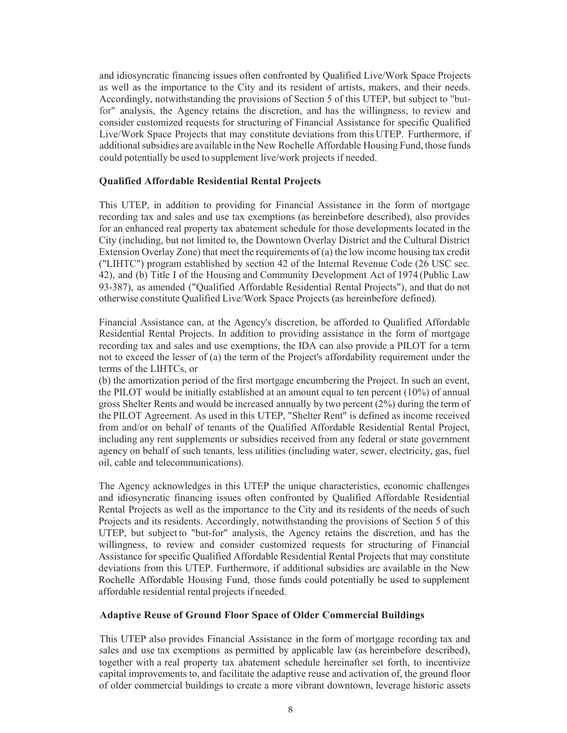and idiosyncratic financing issues often confronted by Qualified Live/Work Space Projects as well as the importance to the City and its resident of artists, makers, and their needs. Accordingly, notwithstanding the provisions of Section 5 of this UTEP, but subject to "butfor" analysis, the Agency retains the discretion, and has the willingness, to review and consider customized requests for structuring of Financial Assistance for specific Qualified Live/Work Space Projects that may constitute deviations from this UTEP. Furthermore, if additionalsubsidies are available in the New Rochelle Affordable Housing Fund, those funds could potentially be used to supplement live/work projects if needed.

#### **Qualified Affordable Residential Rental Projects**

This UTEP, in addition to providing for Financial Assistance in the form of mortgage recording tax and sales and use tax exemptions (as hereinbefore described), also provides for an enhanced real property tax abatement schedule for those developments located in the City (including, but not limited to, the Downtown Overlay District and the Cultural District Extension Overlay Zone) that meet the requirements of (a) the low income housing tax credit ("LIHTC") program established by section 42 of the Internal Revenue Code (26 USC sec. 42), and (b) Title I of the Housing and Community Development Act of 1974 (Public Law 93-387), as amended ("Qualified Affordable Residential Rental Projects"), and that do not otherwise constitute Qualified Live/Work Space Projects (as hereinbefore defined).

Financial Assistance can, at the Agency's discretion, be afforded to Qualified Affordable Residential Rental Projects. In addition to providing assistance in the form of mortgage recording tax and sales and use exemptions, the IDA can also provide a PILOT for a term not to exceed the lesser of (a) the term of the Project's affordability requirement under the terms of the LIHTCs, or

(b) the amortization period of the first mortgage encumbering the Project. In such an event, the PILOT would be initially established at an amount equal to ten percent (10%) of annual gross Shelter Rents and would be increased annually by two percent (2%) during the term of the PILOT Agreement. As used in this UTEP, "Shelter Rent" is defined as income received from and/or on behalf of tenants of the Qualified Affordable Residential Rental Project, including any rent supplements or subsidies received from any federal or state government agency on behalf of such tenants, less utilities (including water, sewer, electricity, gas, fuel oil, cable and telecommunications).

The Agency acknowledges in this UTEP the unique characteristics, economic challenges and idiosyncratic financing issues often confronted by Qualified Affordable Residential Rental Projects as well as the importance to the City and its residents of the needs of such Projects and its residents. Accordingly, notwithstanding the provisions of Section 5 of this UTEP, but subject to "but-for" analysis, the Agency retains the discretion, and has the willingness, to review and consider customized requests for structuring of Financial Assistance for specific Qualified Affordable Residential Rental Projects that may constitute deviations from this UTEP. Furthermore, if additional subsidies are available in the New Rochelle Affordable Housing Fund, those funds could potentially be used to supplement affordable residential rental projects if needed.

#### **Adaptive Reuse of Ground Floor Space of Older Commercial Buildings**

This UTEP also provides Financial Assistance in the form of mortgage recording tax and sales and use tax exemptions as permitted by applicable law (as hereinbefore described), together with a real property tax abatement schedule hereinafter set forth, to incentivize capital improvements to, and facilitate the adaptive reuse and activation of, the ground floor of older commercial buildings to create a more vibrant downtown, leverage historic assets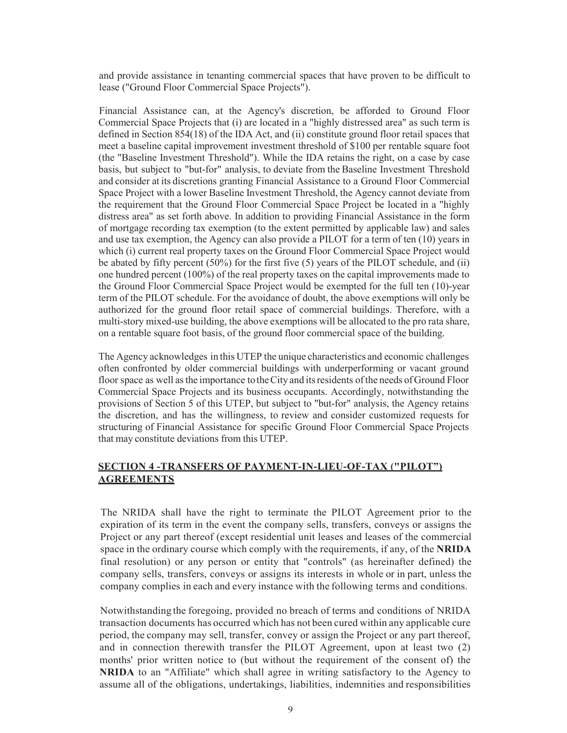and provide assistance in tenanting commercial spaces that have proven to be difficult to lease ("Ground Floor Commercial Space Projects").

Financial Assistance can, at the Agency's discretion, be afforded to Ground Floor Commercial Space Projects that (i) are located in a "highly distressed area" as such term is defined in Section 854(18) of the IDA Act, and (ii) constitute ground floor retail spaces that meet a baseline capital improvement investment threshold of \$100 per rentable square foot (the "Baseline Investment Threshold"). While the IDA retains the right, on a case by case basis, but subject to "but-for" analysis, to deviate from the Baseline Investment Threshold and consider at its discretions granting Financial Assistance to a Ground Floor Commercial Space Project with a lower Baseline Investment Threshold, the Agency cannot deviate from the requirement that the Ground Floor Commercial Space Project be located in a "highly distress area" as set forth above. In addition to providing Financial Assistance in the form of mortgage recording tax exemption (to the extent permitted by applicable law) and sales and use tax exemption, the Agency can also provide a PILOT for a term of ten (10) years in which (i) current real property taxes on the Ground Floor Commercial Space Project would be abated by fifty percent (50%) for the first five (5) years of the PILOT schedule, and (ii) one hundred percent (100%) of the real property taxes on the capital improvements made to the Ground Floor Commercial Space Project would be exempted for the full ten (10)-year term of the PILOT schedule. For the avoidance of doubt, the above exemptions will only be authorized for the ground floor retail space of commercial buildings. Therefore, with a multi-story mixed-use building, the above exemptions will be allocated to the pro rata share, on a rentable square foot basis, of the ground floor commercial space of the building.

The Agency acknowledges in this UTEP the unique characteristics and economic challenges often confronted by older commercial buildings with underperforming or vacant ground floor space as well as the importance to the City and its residents of the needs of Ground Floor Commercial Space Projects and its business occupants. Accordingly, notwithstanding the provisions of Section 5 of this UTEP, but subject to "but-for" analysis, the Agency retains the discretion, and has the willingness, to review and consider customized requests for structuring of Financial Assistance for specific Ground Floor Commercial Space Projects that may constitute deviations from this UTEP.

### **SECTION 4 -TRANSFERS OF PAYMENT-IN-LIEU-OF-TAX ("PILOT") AGREEMENTS**

The NRIDA shall have the right to terminate the PILOT Agreement prior to the expiration of its term in the event the company sells, transfers, conveys or assigns the Project or any part thereof (except residential unit leases and leases of the commercial space in the ordinary course which comply with the requirements, if any, of the **NRIDA**  final resolution) or any person or entity that "controls" (as hereinafter defined) the company sells, transfers, conveys or assigns its interests in whole or in part, unless the company complies in each and every instance with the following terms and conditions.

Notwithstanding the foregoing, provided no breach of terms and conditions of NRIDA transaction documents has occurred which has not been cured within any applicable cure period, the company may sell, transfer, convey or assign the Project or any part thereof, and in connection therewith transfer the PILOT Agreement, upon at least two (2) months' prior written notice to (but without the requirement of the consent of) the **NRIDA** to an "Affiliate" which shall agree in writing satisfactory to the Agency to assume all of the obligations, undertakings, liabilities, indemnities and responsibilities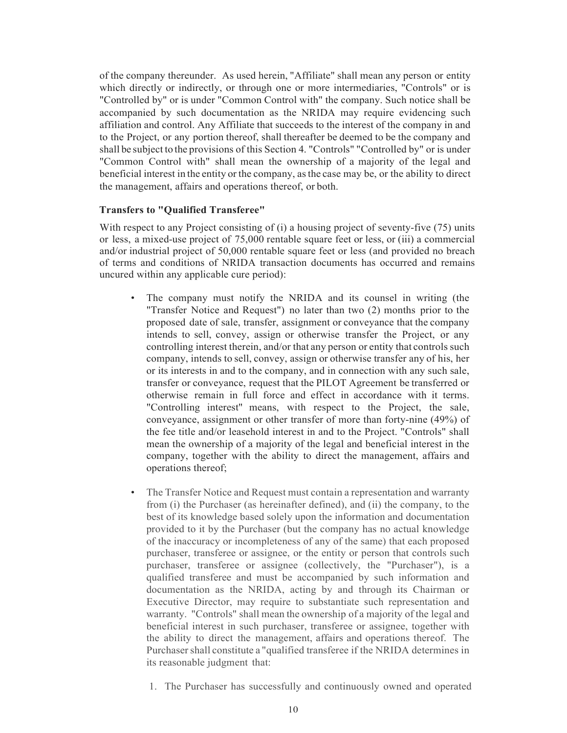of the company thereunder. As used herein, "Affiliate" shall mean any person or entity which directly or indirectly, or through one or more intermediaries, "Controls" or is "Controlled by" or is under "Common Control with" the company. Such notice shall be accompanied by such documentation as the NRIDA may require evidencing such affiliation and control. Any Affiliate that succeeds to the interest of the company in and to the Project, or any portion thereof, shall thereafter be deemed to be the company and shall be subject to the provisions of this Section 4. "Controls" "Controlled by" or is under "Common Control with" shall mean the ownership of a majority of the legal and beneficial interest in the entity or the company, asthe case may be, or the ability to direct the management, affairs and operations thereof, or both.

#### **Transfers to "Qualified Transferee"**

With respect to any Project consisting of (i) a housing project of seventy-five (75) units or less, a mixed-use project of 75,000 rentable square feet or less, or (iii) a commercial and/or industrial project of 50,000 rentable square feet or less (and provided no breach of terms and conditions of NRIDA transaction documents has occurred and remains uncured within any applicable cure period):

- The company must notify the NRIDA and its counsel in writing (the "Transfer Notice and Request") no later than two (2) months prior to the proposed date of sale, transfer, assignment or conveyance that the company intends to sell, convey, assign or otherwise transfer the Project, or any controlling interest therein, and/or that any person or entity that controls such company, intends to sell, convey, assign or otherwise transfer any of his, her or its interests in and to the company, and in connection with any such sale, transfer or conveyance, request that the PILOT Agreement be transferred or otherwise remain in full force and effect in accordance with it terms. "Controlling interest" means, with respect to the Project, the sale, conveyance, assignment or other transfer of more than forty-nine (49%) of the fee title and/or leasehold interest in and to the Project. "Controls" shall mean the ownership of a majority of the legal and beneficial interest in the company, together with the ability to direct the management, affairs and operations thereof;
- The Transfer Notice and Request must contain a representation and warranty from (i) the Purchaser (as hereinafter defined), and (ii) the company, to the best of its knowledge based solely upon the information and documentation provided to it by the Purchaser (but the company has no actual knowledge of the inaccuracy or incompleteness of any of the same) that each proposed purchaser, transferee or assignee, or the entity or person that controls such purchaser, transferee or assignee (collectively, the "Purchaser"), is a qualified transferee and must be accompanied by such information and documentation as the NRIDA, acting by and through its Chairman or Executive Director, may require to substantiate such representation and warranty. "Controls" shall mean the ownership of a majority of the legal and beneficial interest in such purchaser, transferee or assignee, together with the ability to direct the management, affairs and operations thereof. The Purchaser shall constitute a "qualified transferee if the NRIDA determines in its reasonable judgment that:
	- 1. The Purchaser has successfully and continuously owned and operated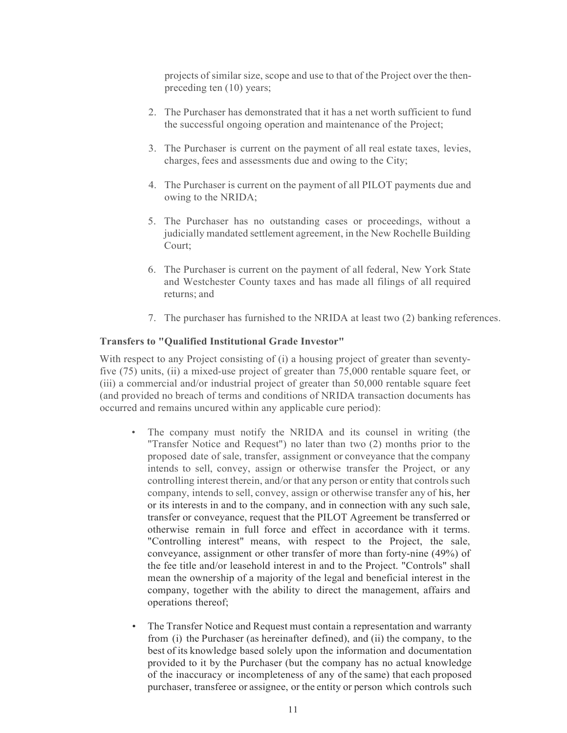projects of similar size, scope and use to that of the Project over the thenpreceding ten (10) years;

- 2. The Purchaser has demonstrated that it has a net worth sufficient to fund the successful ongoing operation and maintenance of the Project;
- 3. The Purchaser is current on the payment of all real estate taxes, levies, charges, fees and assessments due and owing to the City;
- 4. The Purchaser is current on the payment of all PILOT payments due and owing to the NRIDA;
- 5. The Purchaser has no outstanding cases or proceedings, without a judicially mandated settlement agreement, in the New Rochelle Building Court;
- 6. The Purchaser is current on the payment of all federal, New York State and Westchester County taxes and has made all filings of all required returns; and
- 7. The purchaser has furnished to the NRIDA at least two (2) banking references.

#### **Transfers to "Qualified Institutional Grade Investor"**

With respect to any Project consisting of (i) a housing project of greater than seventyfive (75) units, (ii) a mixed-use project of greater than 75,000 rentable square feet, or (iii) a commercial and/or industrial project of greater than 50,000 rentable square feet (and provided no breach of terms and conditions of NRIDA transaction documents has occurred and remains uncured within any applicable cure period):

- The company must notify the NRIDA and its counsel in writing (the "Transfer Notice and Request") no later than two (2) months prior to the proposed date of sale, transfer, assignment or conveyance that the company intends to sell, convey, assign or otherwise transfer the Project, or any controlling interest therein, and/or that any person or entity that controls such company, intends to sell, convey, assign or otherwise transfer any of his, her or its interests in and to the company, and in connection with any such sale, transfer or conveyance, request that the PILOT Agreement be transferred or otherwise remain in full force and effect in accordance with it terms. "Controlling interest" means, with respect to the Project, the sale, conveyance, assignment or other transfer of more than forty-nine (49%) of the fee title and/or leasehold interest in and to the Project. "Controls" shall mean the ownership of a majority of the legal and beneficial interest in the company, together with the ability to direct the management, affairs and operations thereof;
- The Transfer Notice and Request must contain a representation and warranty from (i) the Purchaser (as hereinafter defined), and (ii) the company, to the best of its knowledge based solely upon the information and documentation provided to it by the Purchaser (but the company has no actual knowledge of the inaccuracy or incompleteness of any of the same) that each proposed purchaser, transferee or assignee, or the entity or person which controls such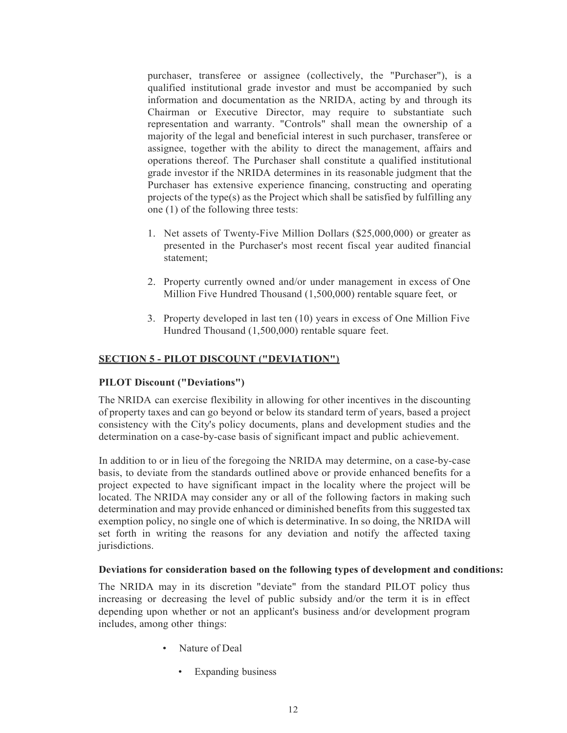purchaser, transferee or assignee (collectively, the "Purchaser"), is a qualified institutional grade investor and must be accompanied by such information and documentation as the NRIDA, acting by and through its Chairman or Executive Director, may require to substantiate such representation and warranty. "Controls" shall mean the ownership of a majority of the legal and beneficial interest in such purchaser, transferee or assignee, together with the ability to direct the management, affairs and operations thereof. The Purchaser shall constitute a qualified institutional grade investor if the NRIDA determines in its reasonable judgment that the Purchaser has extensive experience financing, constructing and operating projects of the type(s) as the Project which shall be satisfied by fulfilling any one (1) of the following three tests:

- 1. Net assets of Twenty-Five Million Dollars (\$25,000,000) or greater as presented in the Purchaser's most recent fiscal year audited financial statement;
- 2. Property currently owned and/or under management in excess of One Million Five Hundred Thousand (1,500,000) rentable square feet, or
- 3. Property developed in last ten (10) years in excess of One Million Five Hundred Thousand (1,500,000) rentable square feet.

### <span id="page-13-0"></span>**SECTION 5 - PILOT DISCOUNT ("DEVIATION")**

### **PILOT Discount ("Deviations")**

The NRIDA can exercise flexibility in allowing for other incentives in the discounting of property taxes and can go beyond or below its standard term of years, based a project consistency with the City's policy documents, plans and development studies and the determination on a case-by-case basis of significant impact and public achievement.

In addition to or in lieu of the foregoing the NRIDA may determine, on a case-by-case basis, to deviate from the standards outlined above or provide enhanced benefits for a project expected to have significant impact in the locality where the project will be located. The NRIDA may consider any or all of the following factors in making such determination and may provide enhanced or diminished benefits from this suggested tax exemption policy, no single one of which is determinative. In so doing, the NRIDA will set forth in writing the reasons for any deviation and notify the affected taxing jurisdictions.

#### **Deviations for consideration based on the following types of development and conditions:**

The NRIDA may in its discretion "deviate" from the standard PILOT policy thus increasing or decreasing the level of public subsidy and/or the term it is in effect depending upon whether or not an applicant's business and/or development program includes, among other things:

- Nature of Deal
	- Expanding business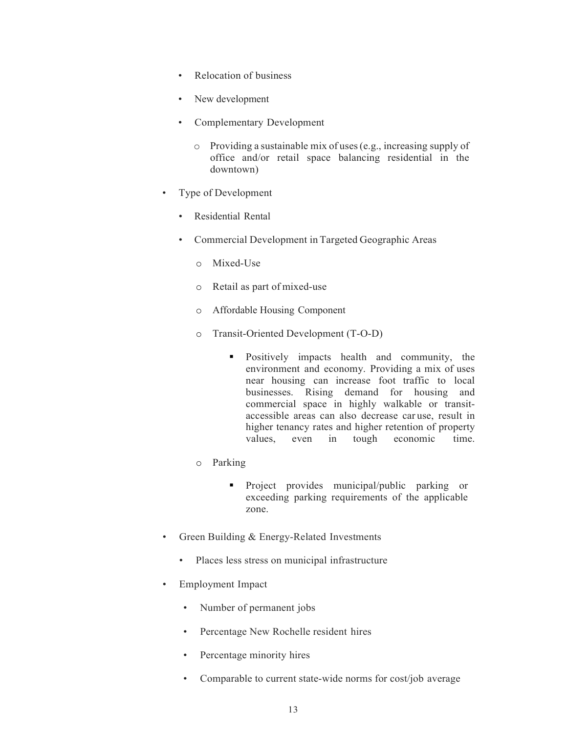- Relocation of business
- New development
- Complementary Development
	- o Providing a sustainable mix of uses(e.g., increasing supply of office and/or retail space balancing residential in the downtown)
- Type of Development
	- Residential Rental
	- Commercial Development in Targeted Geographic Areas
		- o Mixed-Use
		- o Retail as part of mixed-use
		- o Affordable Housing Component
		- o Transit-Oriented Development (T-O-D)
			- **Positively impacts health and community, the** environment and economy. Providing a mix of uses near housing can increase foot traffic to local businesses. Rising demand for housing and commercial space in highly walkable or transitaccessible areas can also decrease car use, result in higher tenancy rates and higher retention of property values, even in tough economic time.
		- o Parking
			- **Project** provides municipal/public parking or exceeding parking requirements of the applicable zone.
- Green Building & Energy-Related Investments
	- Places less stress on municipal infrastructure
- Employment Impact
	- Number of permanent jobs
	- Percentage New Rochelle resident hires
	- Percentage minority hires
	- Comparable to current state-wide norms for cost/job average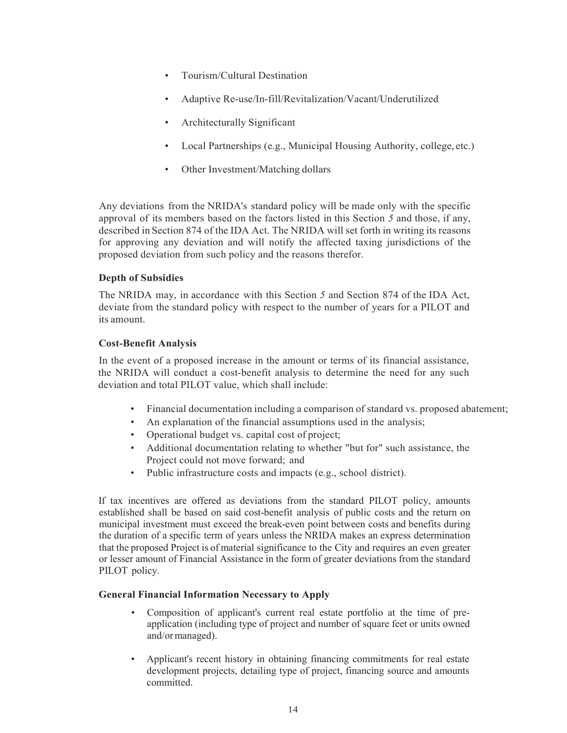- Tourism/Cultural Destination
- Adaptive Re-use/In-fill/Revitalization/Vacant/Underutilized
- Architecturally Significant
- Local Partnerships (e.g., Municipal Housing Authority, college, etc.)
- Other Investment/Matching dollars

Any deviations from the NRIDA's standard policy will be made only with the specific approval of its members based on the factors listed in this Section *5* and those, if any, described in Section 874 of the IDA Act. The NRIDA will set forth in writing its reasons for approving any deviation and will notify the affected taxing jurisdictions of the proposed deviation from such policy and the reasons therefor.

## **Depth of Subsidies**

The NRIDA may, in accordance with this Section *5* and Section 874 of the IDA Act, deviate from the standard policy with respect to the number of years for a PILOT and its amount.

### **Cost-Benefit Analysis**

In the event of a proposed increase in the amount or terms of its financial assistance, the NRIDA will conduct a cost-benefit analysis to determine the need for any such deviation and total PILOT value, which shall include:

- Financial documentation including a comparison of standard vs. proposed abatement;
- An explanation of the financial assumptions used in the analysis;
- Operational budget vs. capital cost of project;
- Additional documentation relating to whether "but for" such assistance, the Project could not move forward; and
- Public infrastructure costs and impacts (e.g., school district).

If tax incentives are offered as deviations from the standard PILOT policy, amounts established shall be based on said cost-benefit analysis of public costs and the return on municipal investment must exceed the break-even point between costs and benefits during the duration of a specific term of years unless the NRIDA makes an express determination that the proposed Project is of material significance to the City and requires an even greater or lesser amount of Financial Assistance in the form of greater deviations from the standard PILOT policy.

### **General Financial Information Necessary to Apply**

- Composition of applicant's current real estate portfolio at the time of preapplication (including type of project and number of square feet or units owned and/or managed).
- Applicant's recent history in obtaining financing commitments for real estate development projects, detailing type of project, financing source and amounts committed.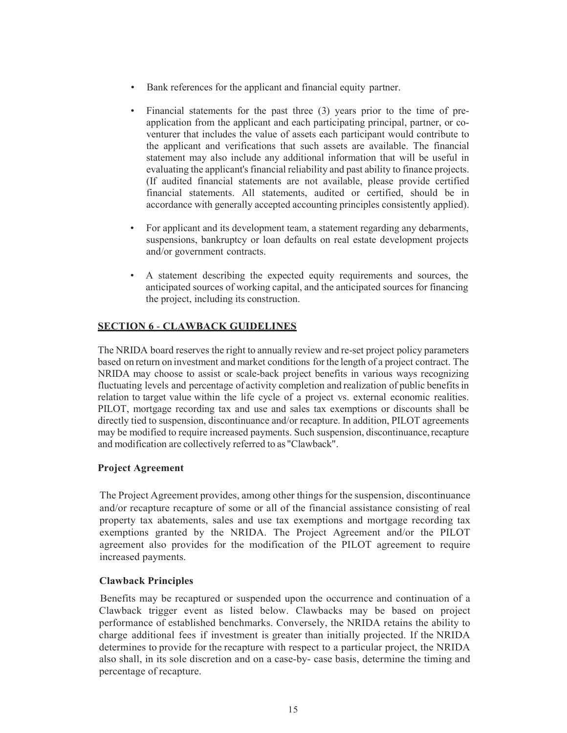- Bank references for the applicant and financial equity partner.
- Financial statements for the past three (3) years prior to the time of preapplication from the applicant and each participating principal, partner, or coventurer that includes the value of assets each participant would contribute to the applicant and verifications that such assets are available. The financial statement may also include any additional information that will be useful in evaluating the applicant's financial reliability and past ability to finance projects. (If audited financial statements are not available, please provide certified financial statements. All statements, audited or certified, should be in accordance with generally accepted accounting principles consistently applied).
- For applicant and its development team, a statement regarding any debarments, suspensions, bankruptcy or loan defaults on real estate development projects and/or government contracts.
- A statement describing the expected equity requirements and sources, the anticipated sources of working capital, and the anticipated sources for financing the project, including its construction.

## <span id="page-16-0"></span>**SECTION 6** - **CLAWBACK GUIDELINES**

The NRIDA board reserves the right to annually review and re-set project policy parameters based on return on investment and market conditions for the length of a project contract. The NRIDA may choose to assist or scale-back project benefits in various ways recognizing fluctuating levels and percentage of activity completion and realization of public benefitsin relation to target value within the life cycle of a project vs. external economic realities. PILOT, mortgage recording tax and use and sales tax exemptions or discounts shall be directly tied to suspension, discontinuance and/or recapture. In addition, PILOT agreements may be modified to require increased payments. Such suspension, discontinuance,recapture and modification are collectively referred to as "Clawback".

## **Project Agreement**

The Project Agreement provides, among other things for the suspension, discontinuance and/or recapture recapture of some or all of the financial assistance consisting of real property tax abatements, sales and use tax exemptions and mortgage recording tax exemptions granted by the NRIDA. The Project Agreement and/or the PILOT agreement also provides for the modification of the PILOT agreement to require increased payments.

## **Clawback Principles**

Benefits may be recaptured or suspended upon the occurrence and continuation of a Clawback trigger event as listed below. Clawbacks may be based on project performance of established benchmarks. Conversely, the NRIDA retains the ability to charge additional fees if investment is greater than initially projected. If the NRIDA determines to provide for the recapture with respect to a particular project, the NRIDA also shall, in its sole discretion and on a case-by- case basis, determine the timing and percentage of recapture.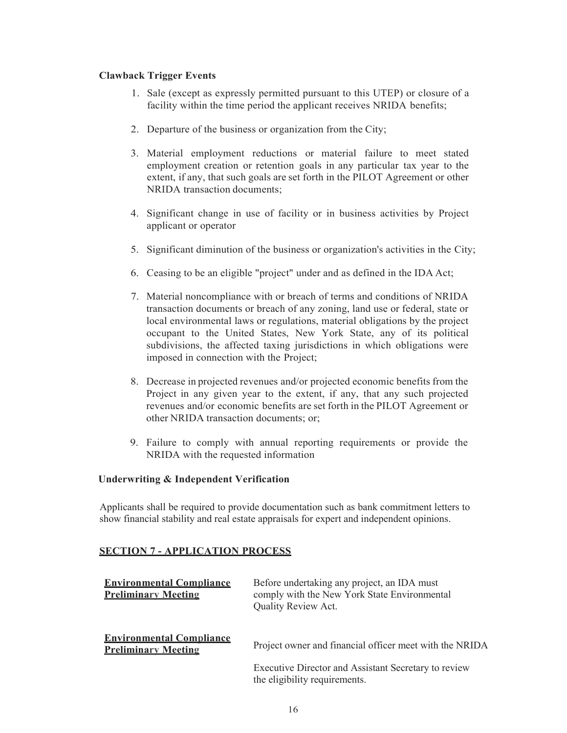### **Clawback Trigger Events**

- 1. Sale (except as expressly permitted pursuant to this UTEP) or closure of a facility within the time period the applicant receives NRIDA benefits;
- 2. Departure of the business or organization from the City;
- 3. Material employment reductions or material failure to meet stated employment creation or retention goals in any particular tax year to the extent, if any, that such goals are set forth in the PILOT Agreement or other NRIDA transaction documents;
- 4. Significant change in use of facility or in business activities by Project applicant or operator
- 5. Significant diminution of the business or organization's activities in the City;
- 6. Ceasing to be an eligible "project" under and as defined in the IDA Act;
- 7. Material noncompliance with or breach of terms and conditions of NRIDA transaction documents or breach of any zoning, land use or federal, state or local environmental laws or regulations, material obligations by the project occupant to the United States, New York State, any of its political subdivisions, the affected taxing jurisdictions in which obligations were imposed in connection with the Project;
- 8. Decrease in projected revenues and/or projected economic benefits from the Project in any given year to the extent, if any, that any such projected revenues and/or economic benefits are set forth in the PILOT Agreement or other NRIDA transaction documents; or;
- 9. Failure to comply with annual reporting requirements or provide the NRIDA with the requested information

### **Underwriting & Independent Verification**

Applicants shall be required to provide documentation such as bank commitment letters to show financial stability and real estate appraisals for expert and independent opinions.

### **SECTION 7 - APPLICATION PROCESS**

| <b>Environmental Compliance</b><br><b>Preliminary Meeting</b> | Before undertaking any project, an IDA must<br>comply with the New York State Environmental<br>Quality Review Act. |
|---------------------------------------------------------------|--------------------------------------------------------------------------------------------------------------------|
| <b>Environmental Compliance</b><br><b>Preliminary Meeting</b> | Project owner and financial officer meet with the NRIDA                                                            |
|                                                               | Executive Director and Assistant Secretary to review<br>the eligibility requirements.                              |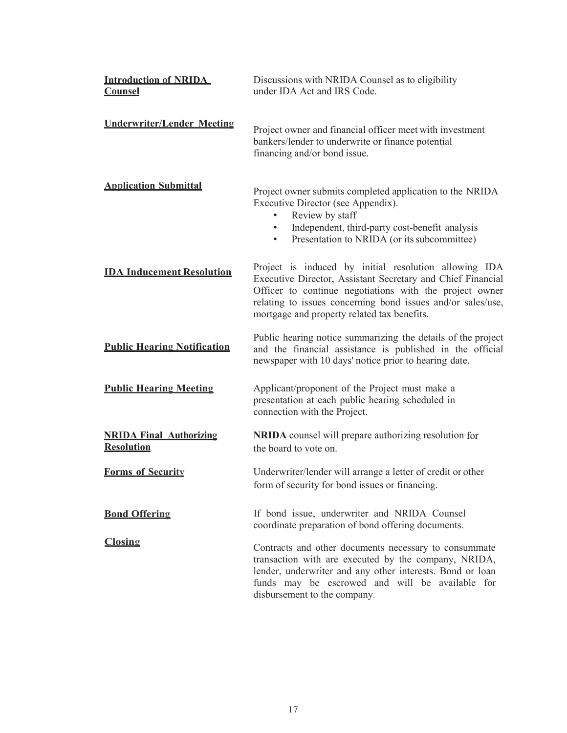| <b>Introduction of NRIDA</b><br><b>Counsel</b>      | Discussions with NRIDA Counsel as to eligibility<br>under IDA Act and IRS Code.                                                                                                                                                                                                               |  |  |  |  |  |  |
|-----------------------------------------------------|-----------------------------------------------------------------------------------------------------------------------------------------------------------------------------------------------------------------------------------------------------------------------------------------------|--|--|--|--|--|--|
| <b>Underwriter/Lender Meeting</b>                   | Project owner and financial officer meet with investment<br>bankers/lender to underwrite or finance potential<br>financing and/or bond issue.                                                                                                                                                 |  |  |  |  |  |  |
| <b>Application Submittal</b>                        | Project owner submits completed application to the NRIDA<br>Executive Director (see Appendix).<br>Review by staff<br>Independent, third-party cost-benefit analysis<br>$\bullet$<br>Presentation to NRIDA (or its subcommittee)<br>$\bullet$                                                  |  |  |  |  |  |  |
| <b>IDA Inducement Resolution</b>                    | Project is induced by initial resolution allowing IDA<br>Executive Director, Assistant Secretary and Chief Financial<br>Officer to continue negotiations with the project owner<br>relating to issues concerning bond issues and/or sales/use,<br>mortgage and property related tax benefits. |  |  |  |  |  |  |
| <b>Public Hearing Notification</b>                  | Public hearing notice summarizing the details of the project<br>and the financial assistance is published in the official<br>newspaper with 10 days' notice prior to hearing date.                                                                                                            |  |  |  |  |  |  |
| <b>Public Hearing Meeting</b>                       | Applicant/proponent of the Project must make a<br>presentation at each public hearing scheduled in<br>connection with the Project.                                                                                                                                                            |  |  |  |  |  |  |
| <b>NRIDA Final Authorizing</b><br><b>Resolution</b> | NRIDA counsel will prepare authorizing resolution for<br>the board to vote on.                                                                                                                                                                                                                |  |  |  |  |  |  |
| <b>Forms of Security</b>                            | Underwriter/lender will arrange a letter of credit or other<br>form of security for bond issues or financing.                                                                                                                                                                                 |  |  |  |  |  |  |
| <b>Bond Offering</b>                                | If bond issue, underwriter and NRIDA Counsel<br>coordinate preparation of bond offering documents.                                                                                                                                                                                            |  |  |  |  |  |  |
| <b>Closing</b>                                      | Contracts and other documents necessary to consummate<br>transaction with are executed by the company, NRIDA,<br>lender, underwriter and any other interests. Bond or loan<br>funds may be escrowed and will be available for<br>disbursement to the company.                                 |  |  |  |  |  |  |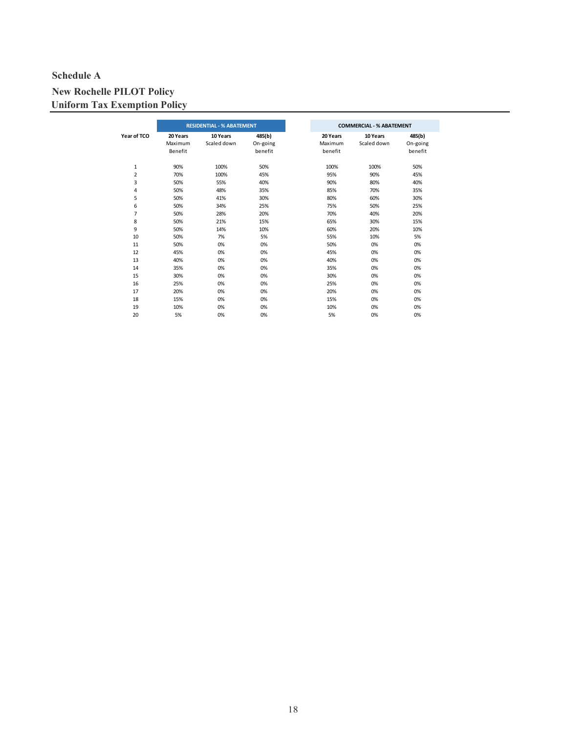## **Schedule A**

# **New Rochelle PILOT Policy Uniform Tax Exemption Policy**

|                | <b>RESIDENTIAL - % ABATEMENT</b> |             |          |  |  |
|----------------|----------------------------------|-------------|----------|--|--|
| Year of TCO    | 20 Years                         | 10 Years    | 485(b)   |  |  |
|                | Maximum                          | Scaled down | On-going |  |  |
|                | Benefit                          |             | benefit  |  |  |
| $\mathbf 1$    | 90%                              | 100%        | 50%      |  |  |
| $\overline{2}$ | 70%                              | 100%        | 45%      |  |  |
| 3              | 50%                              | 55%         | 40%      |  |  |
| 4              | 50%                              | 48%         | 35%      |  |  |
| 5              | 50%                              | 41%         | 30%      |  |  |
| 6              | 50%                              | 34%         | 25%      |  |  |
| $\overline{7}$ | 50%                              | 28%         | 20%      |  |  |
| 8              | 50%                              | 21%         | 15%      |  |  |
| 9              | 50%                              | 14%         | 10%      |  |  |
| 10             | 50%                              | 7%          | 5%       |  |  |
| 11             | 50%                              | 0%          | 0%       |  |  |
| 12             | 45%                              | 0%          | 0%       |  |  |
| 13             | 40%                              | 0%          | 0%       |  |  |
| 14             | 35%                              | 0%          | 0%       |  |  |
| 15             | 30%                              | 0%          | 0%       |  |  |
| 16             | 25%                              | 0%          | 0%       |  |  |
| 17             | 20%                              | 0%          | 0%       |  |  |
| 18             | 15%                              | 0%          | 0%       |  |  |
| 19             | 10%                              | 0%          | 0%       |  |  |
| 20             | 5%                               | 0%          | 0%       |  |  |